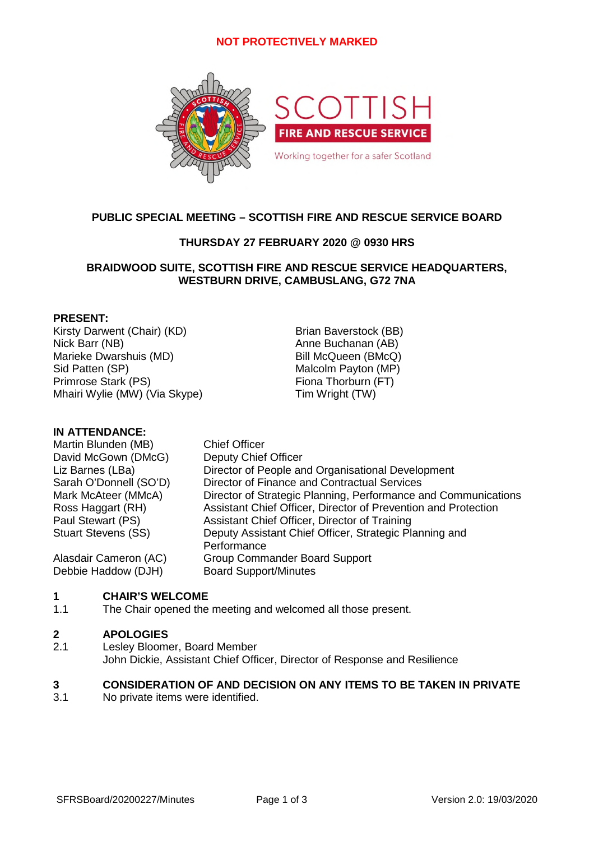# **NOT PROTECTIVELY MARKED**



# **PUBLIC SPECIAL MEETING – SCOTTISH FIRE AND RESCUE SERVICE BOARD**

# **THURSDAY 27 FEBRUARY 2020 @ 0930 HRS**

### **BRAIDWOOD SUITE, SCOTTISH FIRE AND RESCUE SERVICE HEADQUARTERS, WESTBURN DRIVE, CAMBUSLANG, G72 7NA**

### **PRESENT:**

Kirsty Darwent (Chair) (KD) Brian Baverstock (BB) Nick Barr (NB) **Anne Buchanan (AB)** Anne Buchanan (AB) Marieke Dwarshuis (MD) Bill McQueen (BMcQ) Sid Patten (SP) Malcolm Payton (MP) Primrose Stark (PS) Fiona Thorburn (FT) Mhairi Wylie (MW) (Via Skype) Tim Wright (TW)

# **IN ATTENDANCE:**

| Martin Blunden (MB)        | <b>Chief Officer</b>                                           |
|----------------------------|----------------------------------------------------------------|
| David McGown (DMcG)        | <b>Deputy Chief Officer</b>                                    |
| Liz Barnes (LBa)           | Director of People and Organisational Development              |
| Sarah O'Donnell (SO'D)     | Director of Finance and Contractual Services                   |
| Mark McAteer (MMcA)        | Director of Strategic Planning, Performance and Communications |
| Ross Haggart (RH)          | Assistant Chief Officer, Director of Prevention and Protection |
| Paul Stewart (PS)          | Assistant Chief Officer, Director of Training                  |
| <b>Stuart Stevens (SS)</b> | Deputy Assistant Chief Officer, Strategic Planning and         |
|                            | Performance                                                    |
| Alasdair Cameron (AC)      | <b>Group Commander Board Support</b>                           |
| Debbie Haddow (DJH)        | <b>Board Support/Minutes</b>                                   |

#### **1 CHAIR'S WELCOME**

1.1 The Chair opened the meeting and welcomed all those present.

#### **2 APOLOGIES**

2.1 Lesley Bloomer, Board Member John Dickie, Assistant Chief Officer, Director of Response and Resilience

#### **3 CONSIDERATION OF AND DECISION ON ANY ITEMS TO BE TAKEN IN PRIVATE**

3.1 No private items were identified.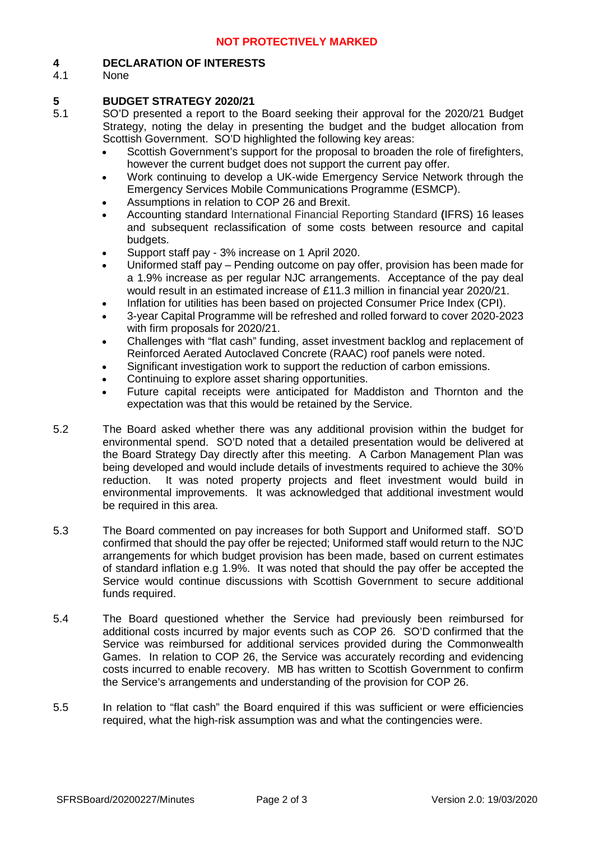#### **4 DECLARATION OF INTERESTS**

4.1 None

#### **5 BUDGET STRATEGY 2020/21**

- 5.1 SO'D presented a report to the Board seeking their approval for the 2020/21 Budget Strategy, noting the delay in presenting the budget and the budget allocation from Scottish Government. SO'D highlighted the following key areas:
	- Scottish Government's support for the proposal to broaden the role of firefighters, however the current budget does not support the current pay offer.
	- Work continuing to develop a UK-wide Emergency Service Network through the Emergency Services Mobile Communications Programme (ESMCP).
	- Assumptions in relation to COP 26 and Brexit.
	- Accounting standard International Financial Reporting Standard **(**IFRS) 16 leases and subsequent reclassification of some costs between resource and capital budgets.
	- Support staff pay 3% increase on 1 April 2020.
	- Uniformed staff pay Pending outcome on pay offer, provision has been made for a 1.9% increase as per regular NJC arrangements. Acceptance of the pay deal would result in an estimated increase of £11.3 million in financial year 2020/21.
	- Inflation for utilities has been based on projected Consumer Price Index (CPI).
	- 3-year Capital Programme will be refreshed and rolled forward to cover 2020-2023 with firm proposals for 2020/21.
	- Challenges with "flat cash" funding, asset investment backlog and replacement of Reinforced Aerated Autoclaved Concrete (RAAC) roof panels were noted.
	- Significant investigation work to support the reduction of carbon emissions.
	- Continuing to explore asset sharing opportunities.
	- Future capital receipts were anticipated for Maddiston and Thornton and the expectation was that this would be retained by the Service.
- 5.2 The Board asked whether there was any additional provision within the budget for environmental spend. SO'D noted that a detailed presentation would be delivered at the Board Strategy Day directly after this meeting. A Carbon Management Plan was being developed and would include details of investments required to achieve the 30% reduction. It was noted property projects and fleet investment would build in environmental improvements. It was acknowledged that additional investment would be required in this area.
- 5.3 The Board commented on pay increases for both Support and Uniformed staff. SO'D confirmed that should the pay offer be rejected; Uniformed staff would return to the NJC arrangements for which budget provision has been made, based on current estimates of standard inflation e.g 1.9%. It was noted that should the pay offer be accepted the Service would continue discussions with Scottish Government to secure additional funds required.
- 5.4 The Board questioned whether the Service had previously been reimbursed for additional costs incurred by major events such as COP 26. SO'D confirmed that the Service was reimbursed for additional services provided during the Commonwealth Games. In relation to COP 26, the Service was accurately recording and evidencing costs incurred to enable recovery. MB has written to Scottish Government to confirm the Service's arrangements and understanding of the provision for COP 26.
- 5.5 In relation to "flat cash" the Board enquired if this was sufficient or were efficiencies required, what the high-risk assumption was and what the contingencies were.